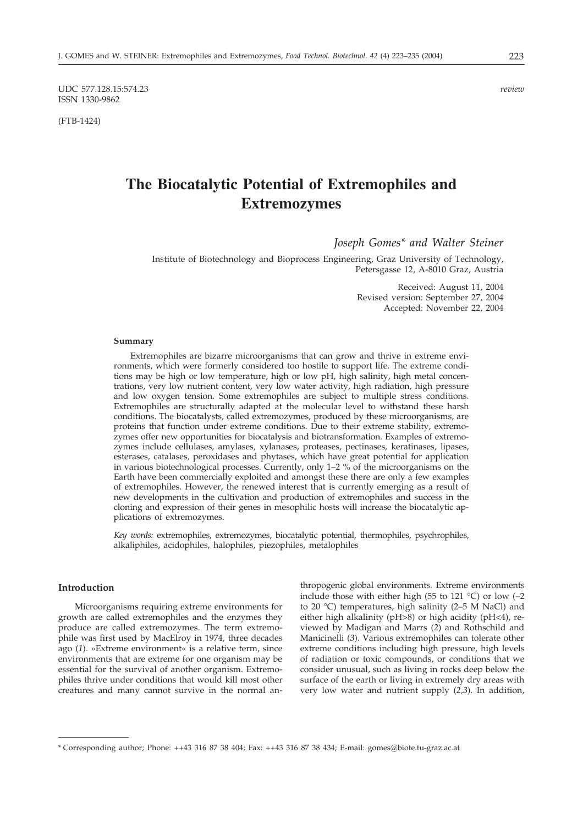UDC 577.128.15:574.23 *review* ISSN 1330-9862

(FTB-1424)

# **The Biocatalytic Potential of Extremophiles and Extremozymes**

*Joseph Gomes\* and Walter Steiner*

Institute of Biotechnology and Bioprocess Engineering, Graz University of Technology, Petersgasse 12, A-8010 Graz, Austria

> Received: August 11, 2004 Revised version: September 27, 2004 Accepted: November 22, 2004

#### **Summary**

Extremophiles are bizarre microorganisms that can grow and thrive in extreme environments, which were formerly considered too hostile to support life. The extreme conditions may be high or low temperature, high or low pH, high salinity, high metal concentrations, very low nutrient content, very low water activity, high radiation, high pressure and low oxygen tension. Some extremophiles are subject to multiple stress conditions. Extremophiles are structurally adapted at the molecular level to withstand these harsh conditions. The biocatalysts, called extremozymes, produced by these microorganisms, are proteins that function under extreme conditions. Due to their extreme stability, extremozymes offer new opportunities for biocatalysis and biotransformation. Examples of extremozymes include cellulases, amylases, xylanases, proteases, pectinases, keratinases, lipases, esterases, catalases, peroxidases and phytases, which have great potential for application in various biotechnological processes. Currently, only 1–2 % of the microorganisms on the Earth have been commercially exploited and amongst these there are only a few examples of extremophiles. However, the renewed interest that is currently emerging as a result of new developments in the cultivation and production of extremophiles and success in the cloning and expression of their genes in mesophilic hosts will increase the biocatalytic applications of extremozymes.

*Key words:* extremophiles, extremozymes, biocatalytic potential, thermophiles, psychrophiles, alkaliphiles, acidophiles, halophiles, piezophiles, metalophiles

## **Introduction**

Microorganisms requiring extreme environments for growth are called extremophiles and the enzymes they produce are called extremozymes. The term extremophile was first used by MacElroy in 1974, three decades ago (*1*). »Extreme environment« is a relative term, since environments that are extreme for one organism may be essential for the survival of another organism. Extremophiles thrive under conditions that would kill most other creatures and many cannot survive in the normal anthropogenic global environments. Extreme environments include those with either high (55 to 121  $^{\circ}$ C) or low (-2 to 20 °C) temperatures, high salinity (2–5 M NaCl) and either high alkalinity (pH>8) or high acidity (pH<4), reviewed by Madigan and Marrs (*2*) and Rothschild and Manicinelli (*3*). Various extremophiles can tolerate other extreme conditions including high pressure, high levels of radiation or toxic compounds, or conditions that we consider unusual, such as living in rocks deep below the surface of the earth or living in extremely dry areas with very low water and nutrient supply (*2,3*). In addition,

<sup>\*</sup> Corresponding author; Phone: ++43 316 87 38 404; Fax: ++43 316 87 38 434; E-mail: gomes*@*biote.tu-graz.ac.at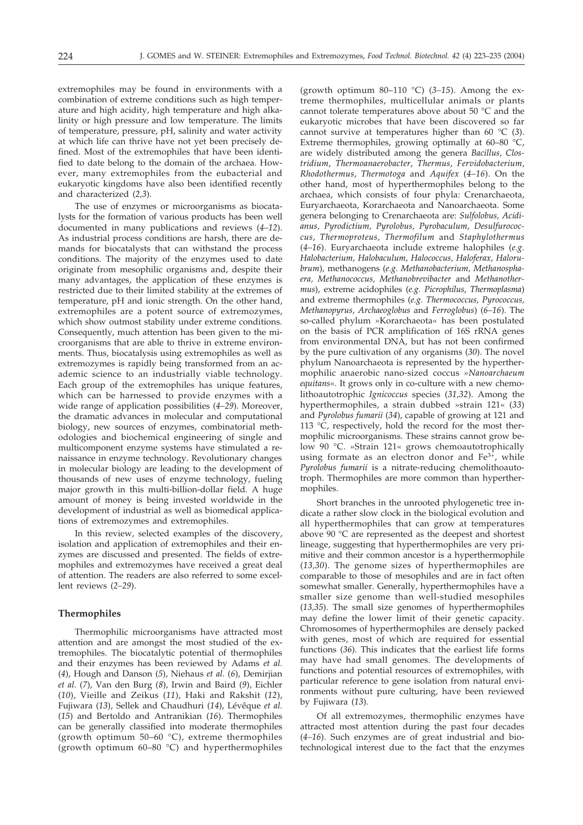extremophiles may be found in environments with a combination of extreme conditions such as high temperature and high acidity, high temperature and high alkalinity or high pressure and low temperature. The limits of temperature, pressure, pH, salinity and water activity at which life can thrive have not yet been precisely defined. Most of the extremophiles that have been identified to date belong to the domain of the archaea. However, many extremophiles from the eubacterial and eukaryotic kingdoms have also been identified recently and characterized (*2,3*).

The use of enzymes or microorganisms as biocatalysts for the formation of various products has been well documented in many publications and reviews (*4–12*). As industrial process conditions are harsh, there are demands for biocatalysts that can withstand the process conditions. The majority of the enzymes used to date originate from mesophilic organisms and, despite their many advantages, the application of these enzymes is restricted due to their limited stability at the extremes of temperature, pH and ionic strength. On the other hand, extremophiles are a potent source of extremozymes, which show outmost stability under extreme conditions. Consequently, much attention has been given to the microorganisms that are able to thrive in extreme environments. Thus, biocatalysis using extremophiles as well as extremozymes is rapidly being transformed from an academic science to an industrially viable technology. Each group of the extremophiles has unique features, which can be harnessed to provide enzymes with a wide range of application possibilities (*4–29*). Moreover, the dramatic advances in molecular and computational biology, new sources of enzymes, combinatorial methodologies and biochemical engineering of single and multicomponent enzyme systems have stimulated a renaissance in enzyme technology. Revolutionary changes in molecular biology are leading to the development of thousands of new uses of enzyme technology, fueling major growth in this multi-billion-dollar field. A huge amount of money is being invested worldwide in the development of industrial as well as biomedical applications of extremozymes and extremophiles.

In this review, selected examples of the discovery, isolation and application of extremophiles and their enzymes are discussed and presented. The fields of extremophiles and extremozymes have received a great deal of attention. The readers are also referred to some excellent reviews (*2–29*).

#### **Thermophiles**

Thermophilic microorganisms have attracted most attention and are amongst the most studied of the extremophiles. The biocatalytic potential of thermophiles and their enzymes has been reviewed by Adams *et al.* (*4*), Hough and Danson (*5*), Niehaus *et al.* (*6*), Demirjian *et al.* (*7*), Van den Burg (*8*), Irwin and Baird (*9*), Eichler (*10*), Vieille and Zeikus (*11*), Haki and Rakshit (*12*), Fujiwara (*13*), Sellek and Chaudhuri (*14*), Lévêque *et al.* (*15*) and Bertoldo and Antranikian (*16*). Thermophiles can be generally classified into moderate thermophiles (growth optimum 50–60 °C), extreme thermophiles (growth optimum 60–80 °C) and hyperthermophiles

(growth optimum 80–110 °C) (*3–15*). Among the extreme thermophiles, multicellular animals or plants cannot tolerate temperatures above about 50 °C and the eukaryotic microbes that have been discovered so far cannot survive at temperatures higher than 60 °C (*3*). Extreme thermophiles, growing optimally at 60–80 °C, are widely distributed among the genera *Bacillus*, *Clostridium*, *Thermoanaerobacter*, *Thermus*, *Fervidobacterium*, *Rhodothermus*, *Thermotoga* and *Aquifex* (*4–16*). On the other hand, most of hyperthermophiles belong to the archaea, which consists of four phyla: Crenarchaeota, Euryarchaeota, Korarchaeota and Nanoarchaeota. Some genera belonging to Crenarchaeota are: *Sulfolobus, Acidianus, Pyrodictium, Pyrolobus, Pyrobaculum, Desulfurococcus*, *Thermoproteus, Thermofilum* and *Staphylothermus* (*4–16*). Euryarchaeota include extreme halophiles (*e.g. Halobacterium, Halobaculum, Halococcus, Haloferax, Halorubrum*)*,* methanogens (*e.g. Methanobacterium, Methanosphaera, Methanococcus, Methanobrevibacter* and *Methanothermus*), extreme acidophiles (*e.g. Picrophilus*, *Thermoplasma*) and extreme thermophiles (*e.g. Thermococcus, Pyrococcus, Methanopyrus, Archaeoglobus* and *Ferroglobus*) (*6–16*). The so-called phylum »Korarchaeota« has been postulated on the basis of PCR amplification of 16S rRNA genes from environmental DNA, but has not been confirmed by the pure cultivation of any organisms (*30*). The novel phylum Nanoarchaeota is represented by the hyperthermophilic anaerobic nano-sized coccus »*Nanoarchaeum equitans*«. It grows only in co-culture with a new chemolithoautotrophic *Ignicoccus* species (*31,32*). Among the hyperthermophiles, a strain dubbed »strain 121« (*33*) and *Pyrolobus fumarii* (*34*), capable of growing at 121 and 113 °C, respectively, hold the record for the most thermophilic microorganisms. These strains cannot grow below 90 °C. »Strain 121« grows chemoautotrophically using formate as an electron donor and  $Fe<sup>3+</sup>$ , while *Pyrolobus fumarii* is a nitrate-reducing chemolithoautotroph. Thermophiles are more common than hyperthermophiles.

Short branches in the unrooted phylogenetic tree indicate a rather slow clock in the biological evolution and all hyperthermophiles that can grow at temperatures above 90 °C are represented as the deepest and shortest lineage, suggesting that hyperthermophiles are very primitive and their common ancestor is a hyperthermophile (*13,30*). The genome sizes of hyperthermophiles are comparable to those of mesophiles and are in fact often somewhat smaller. Generally, hyperthermophiles have a smaller size genome than well-studied mesophiles (*13,35*). The small size genomes of hyperthermophiles may define the lower limit of their genetic capacity. Chromosomes of hyperthermophiles are densely packed with genes, most of which are required for essential functions (*36*). This indicates that the earliest life forms may have had small genomes. The developments of functions and potential resources of extremophiles, with particular reference to gene isolation from natural environments without pure culturing, have been reviewed by Fujiwara (*13*).

Of all extremozymes, thermophilic enzymes have attracted most attention during the past four decades (*4–16*). Such enzymes are of great industrial and biotechnological interest due to the fact that the enzymes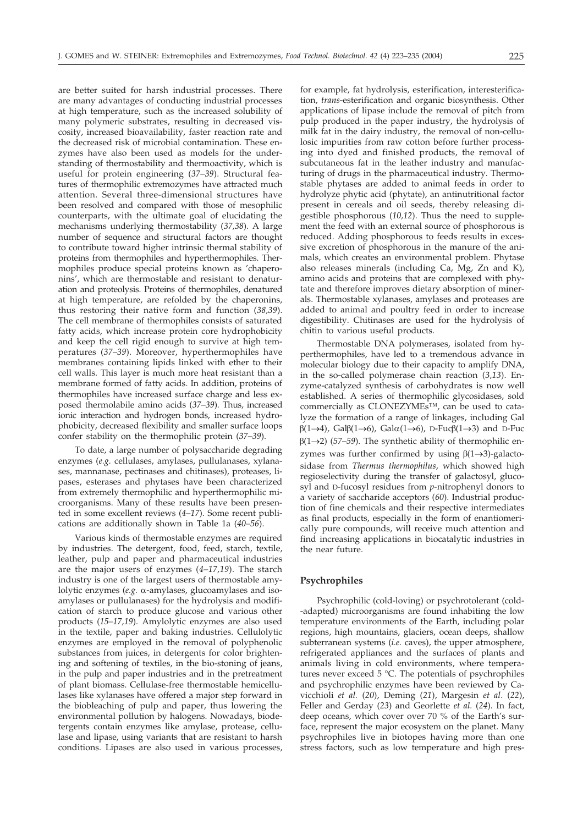are better suited for harsh industrial processes. There are many advantages of conducting industrial processes at high temperature, such as the increased solubility of many polymeric substrates, resulting in decreased viscosity, increased bioavailability, faster reaction rate and the decreased risk of microbial contamination. These enzymes have also been used as models for the understanding of thermostability and thermoactivity, which is useful for protein engineering (*37–39*). Structural features of thermophilic extremozymes have attracted much attention. Several three-dimensional structures have been resolved and compared with those of mesophilic counterparts, with the ultimate goal of elucidating the mechanisms underlying thermostability (*37,38*). A large number of sequence and structural factors are thought to contribute toward higher intrinsic thermal stability of proteins from thermophiles and hyperthermophiles. Thermophiles produce special proteins known as 'chaperonins', which are thermostable and resistant to denaturation and proteolysis. Proteins of thermophiles, denatured at high temperature, are refolded by the chaperonins, thus restoring their native form and function (*38,39*). The cell membrane of thermophiles consists of saturated fatty acids, which increase protein core hydrophobicity and keep the cell rigid enough to survive at high temperatures (*37–39*). Moreover, hyperthermophiles have membranes containing lipids linked with ether to their cell walls. This layer is much more heat resistant than a membrane formed of fatty acids. In addition, proteins of thermophiles have increased surface charge and less exposed thermolabile amino acids (*37–39*). Thus, increased ionic interaction and hydrogen bonds, increased hydrophobicity, decreased flexibility and smaller surface loops confer stability on the thermophilic protein (*37–39*).

To date, a large number of polysaccharide degrading enzymes (*e.g.* cellulases, amylases, pullulanases, xylanases, mannanase, pectinases and chitinases), proteases, lipases, esterases and phytases have been characterized from extremely thermophilic and hyperthermophilic microorganisms. Many of these results have been presented in some excellent reviews (*4–17*). Some recent publications are additionally shown in Table 1a (*40–56*).

Various kinds of thermostable enzymes are required by industries. The detergent, food, feed, starch, textile, leather, pulp and paper and pharmaceutical industries are the major users of enzymes (*4–17,19*). The starch industry is one of the largest users of thermostable amylolytic enzymes ( $e.g.$   $\alpha$ -amylases, glucoamylases and isoamylases or pullulanases) for the hydrolysis and modification of starch to produce glucose and various other products (*15–17,19*). Amylolytic enzymes are also used in the textile, paper and baking industries. Cellulolytic enzymes are employed in the removal of polyphenolic substances from juices, in detergents for color brightening and softening of textiles, in the bio-stoning of jeans, in the pulp and paper industries and in the pretreatment of plant biomass. Cellulase-free thermostable hemicellulases like xylanases have offered a major step forward in the biobleaching of pulp and paper, thus lowering the environmental pollution by halogens. Nowadays, biodetergents contain enzymes like amylase, protease, cellulase and lipase, using variants that are resistant to harsh conditions. Lipases are also used in various processes,

for example, fat hydrolysis, esterification, interesterification, *trans*-esterification and organic biosynthesis. Other applications of lipase include the removal of pitch from pulp produced in the paper industry, the hydrolysis of milk fat in the dairy industry, the removal of non-cellulosic impurities from raw cotton before further processing into dyed and finished products, the removal of subcutaneous fat in the leather industry and manufacturing of drugs in the pharmaceutical industry. Thermostable phytases are added to animal feeds in order to hydrolyze phytic acid (phytate), an antinutritional factor present in cereals and oil seeds, thereby releasing digestible phosphorous (*10,12*). Thus the need to supplement the feed with an external source of phosphorous is reduced. Adding phosphorous to feeds results in excessive excretion of phosphorous in the manure of the animals, which creates an environmental problem. Phytase also releases minerals (including Ca, Mg, Zn and K), amino acids and proteins that are complexed with phytate and therefore improves dietary absorption of minerals. Thermostable xylanases, amylases and proteases are added to animal and poultry feed in order to increase digestibility. Chitinases are used for the hydrolysis of chitin to various useful products.

Thermostable DNA polymerases, isolated from hyperthermophiles, have led to a tremendous advance in molecular biology due to their capacity to amplify DNA, in the so-called polymerase chain reaction (*3,13*). Enzyme-catalyzed synthesis of carbohydrates is now well established. A series of thermophilic glycosidases, sold commercially as CLONEZYMEs™, can be used to catalyze the formation of a range of linkages, including Gal  $\beta(1\rightarrow 4)$ , Gal $\beta(1\rightarrow 6)$ , Gal $\alpha(1\rightarrow 6)$ , D-Fuc $\beta(1\rightarrow 3)$  and D-Fuc  $\beta(1\rightarrow 2)$  (57–59). The synthetic ability of thermophilic enzymes was further confirmed by using  $\beta(1\rightarrow 3)$ -galactosidase from *Thermus thermophilus*, which showed high regioselectivity during the transfer of galactosyl, glucosyl and D-fucosyl residues from *p*-nitrophenyl donors to a variety of saccharide acceptors (*60*). Industrial production of fine chemicals and their respective intermediates as final products, especially in the form of enantiomerically pure compounds, will receive much attention and find increasing applications in biocatalytic industries in the near future.

#### **Psychrophiles**

Psychrophilic (cold-loving) or psychrotolerant (cold- -adapted) microorganisms are found inhabiting the low temperature environments of the Earth, including polar regions, high mountains, glaciers, ocean deeps, shallow subterranean systems (*i.e.* caves), the upper atmosphere, refrigerated appliances and the surfaces of plants and animals living in cold environments, where temperatures never exceed 5 °C. The potentials of psychrophiles and psychrophilic enzymes have been reviewed by Cavicchioli *et al.* (*20*), Deming (*21*), Margesin *et al*. (*22*), Feller and Gerday (*23*) and Georlette *et al.* (*24*). In fact, deep oceans, which cover over 70 % of the Earth's surface, represent the major ecosystem on the planet. Many psychrophiles live in biotopes having more than one stress factors, such as low temperature and high pres-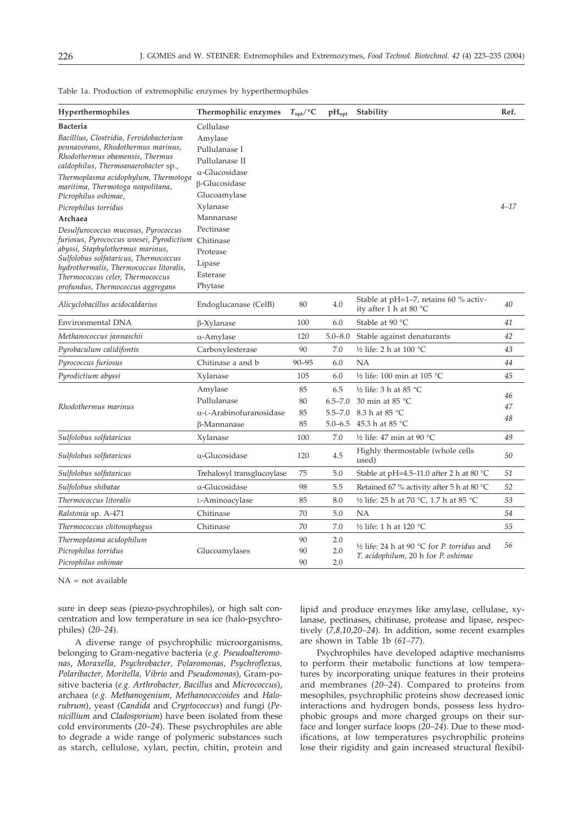| Hyperthermophiles                                                                | Thermophilic enzymes       | $T_{\text{opt}}$ /°C | $\rm pH_{opt}$ | Stability                                                                                   | Ref.     |  |  |
|----------------------------------------------------------------------------------|----------------------------|----------------------|----------------|---------------------------------------------------------------------------------------------|----------|--|--|
| <b>Bacteria</b>                                                                  | Cellulase                  |                      |                |                                                                                             |          |  |  |
| Bacillius, Clostridia, Fervidobacterium                                          | Amylase                    |                      |                |                                                                                             |          |  |  |
| pennavorans, Rhodothermus marinus,                                               | Pullulanase I              |                      |                |                                                                                             |          |  |  |
| Rhodothermus obamensis, Thermus<br>caldophilus, Thermoanaerobacter sp.,          | Pullulanase II             |                      |                |                                                                                             |          |  |  |
| Thermoplasma acidophylum, Thermotoga                                             | $\alpha$ -Glucosidase      |                      |                |                                                                                             |          |  |  |
| maritima, Thermotoga neapolitana,                                                | <b>B-Glucosidase</b>       |                      |                |                                                                                             |          |  |  |
| Picrophilus oshimae,                                                             | Glucoamylase               |                      |                |                                                                                             |          |  |  |
| Picrophilus torridus                                                             | Xylanase                   |                      |                |                                                                                             | $4 - 17$ |  |  |
| Archaea                                                                          | Mannanase                  |                      |                |                                                                                             |          |  |  |
| Desulfurococcus mucosus, Pyrococcus                                              | Pectinase                  |                      |                |                                                                                             |          |  |  |
| furiosus, Pyrococcus woesei, Pyrodictium                                         | Chitinase                  |                      |                |                                                                                             |          |  |  |
| abyssi, Staphylothermus marinus,                                                 | Protease                   |                      |                |                                                                                             |          |  |  |
| Sulfolobus solfataricus, Thermococcus<br>hydrothermalis, Thermococcus litoralis, | Lipase                     |                      |                |                                                                                             |          |  |  |
| Thermococcus celer, Thermococcus                                                 | Esterase                   |                      |                |                                                                                             |          |  |  |
| profundus, Thermococcus aggregans                                                | Phytase                    |                      |                |                                                                                             |          |  |  |
| Alicyclobacillus acidocaldarius                                                  | Endoglucanase (CelB)       | 80                   | 4.0            | Stable at $pH=1-7$ , retains 60 % activ-<br>ity after 1 h at 80 $^{\circ}$ C                | 40       |  |  |
| Environmental DNA                                                                | $\beta$ -Xylanase          | 100                  | 6.0            | Stable at 90 °C                                                                             | 41       |  |  |
| Methanococcus jannaschii                                                         | $\alpha$ -Amylase          | 120                  | $5.0 - 8.0$    | Stable against denaturants                                                                  | 42       |  |  |
| Pyrobaculum calidifontis                                                         | Carboxylesterase           | 90                   | 7.0            | 1/2 life: 2 h at 100 °C                                                                     | 43       |  |  |
| Pyrococcus furiosus                                                              | Chitinase a and b          | $90 - 95$            | 6.0            | <b>NA</b>                                                                                   | 44       |  |  |
| Pyrodictium abyssi                                                               | Xylanase                   | 105                  | 6.0            | 1/2 life: 100 min at 105 °C                                                                 | 45       |  |  |
|                                                                                  | Amylase                    | 85                   | 6.5            | ½ life: 3 h at 85 °C                                                                        | 46       |  |  |
| Rhodothermus marinus                                                             | Pullulanase                | 80                   | $6.5 - 7.0$    | 30 min at 85 $^{\circ}$ C                                                                   | 47       |  |  |
|                                                                                  | α-L-Arabinofuranosidase    | 85                   | $5.5 - 7.0$    | 8.3 h at 85 °C                                                                              | 48       |  |  |
|                                                                                  | β-Mannanase                | 85                   |                | 5.0-6.5 45.3 h at 85 °C                                                                     |          |  |  |
| Sulfolobus solfataricus                                                          | Xylanase                   | 100                  | 7.0            | 1/2 life: 47 min at 90 $^{\circ}$ C                                                         | 49       |  |  |
| Sulfolobus solfataricus                                                          | α-Glucosidase              | 120                  | 4.5            | Highly thermostable (whole cells<br>used)                                                   | 50       |  |  |
| Sulfolobus solfataricus                                                          | Trehalosyl transglucoylase | 75                   | 5.0            | Stable at pH=4.5-11.0 after 2 h at 80 °C                                                    | 51       |  |  |
| Sulfolobus shibatae                                                              | α-Glucosidase              | 98                   | 5.5            | Retained 67 % activity after 5 h at 80 °C                                                   | 52       |  |  |
| Thermococcus litoralis                                                           | L-Aminoacylase             | 85                   | 8.0            | 1/2 life: 25 h at 70 °C, 1.7 h at 85 °C                                                     | 53       |  |  |
| Ralstonia sp. A-471                                                              | Chitinase                  | 70                   | 5.0            | NA                                                                                          | 54       |  |  |
| Thermococcus chitonophagus                                                       | Chitinase                  | 70                   | 7.0            | 1/2 life: 1 h at 120 °C                                                                     | 55       |  |  |
| Thermoplasma acidophilum                                                         |                            | 90                   | 2.0            |                                                                                             |          |  |  |
| Picrophilus torridus                                                             | Glucoamylases              | 90                   | 2.0            | 1/2 life: 24 h at 90 $\degree$ C for P. torridus and<br>T. acidophilum, 20 h for P. oshimae | 56       |  |  |
| Picrophilus oshimae                                                              |                            | 90                   | 2.0            |                                                                                             |          |  |  |

Table 1a. Production of extremophilic enzymes by hyperthermophiles

 $NA = not available$ 

sure in deep seas (piezo-psychrophiles), or high salt concentration and low temperature in sea ice (halo-psychrophiles) (*20–24*).

A diverse range of psychrophilic microorganisms, belonging to Gram-negative bacteria (*e.g. Pseudoalteromonas*, *Moraxella, Psychrobacter, Polaromonas, Psychroflexus, Polaribacter, Moritella, Vibrio* and *Pseudomonas*), Gram-positive bacteria (*e.g. Arthrobacter, Bacillus* and *Micrococcus*), archaea (*e.g. Methanogenium*, *Methanococcoides* and *Halorubrum*), yeast (*Candida* and *Cryptococcus*) and fungi (*Penicillium* and *Cladosporium*) have been isolated from these cold environments (*20–24*). These psychrophiles are able to degrade a wide range of polymeric substances such as starch, cellulose, xylan, pectin, chitin, protein and

lipid and produce enzymes like amylase, cellulase, xylanase, pectinases, chitinase, protease and lipase, respectively (*7,8,10,20–24*). In addition, some recent examples are shown in Table 1b (*61–77*).

Psychrophiles have developed adaptive mechanisms to perform their metabolic functions at low temperatures by incorporating unique features in their proteins and membranes (*20–24*). Compared to proteins from mesophiles, psychrophilic proteins show decreased ionic interactions and hydrogen bonds, possess less hydrophobic groups and more charged groups on their surface and longer surface loops (*20–24*). Due to these modifications, at low temperatures psychrophilic proteins lose their rigidity and gain increased structural flexibil-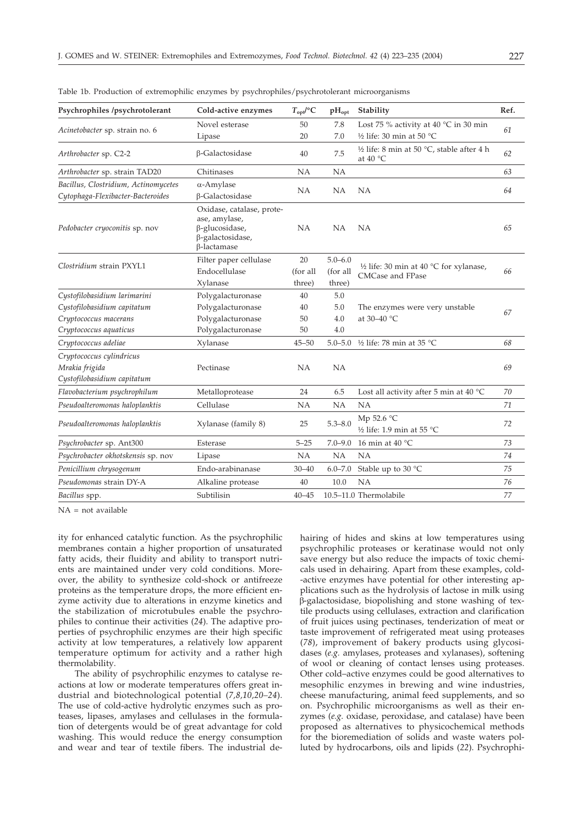| Psychrophiles /psychrotolerant       | Cold-active enzymes                                                                                    | $T_{\text{opt}}$ /°C | $pH_{opt}$  | Stability                                                                 | Ref. |  |
|--------------------------------------|--------------------------------------------------------------------------------------------------------|----------------------|-------------|---------------------------------------------------------------------------|------|--|
| Acinetobacter sp. strain no. 6       | Novel esterase                                                                                         | 50                   | 7.8         | Lost 75 % activity at 40 $^{\circ}$ C in 30 min                           | 61   |  |
|                                      | Lipase                                                                                                 | 20                   | 7.0         | 1/2 life: 30 min at 50 $^{\circ}$ C                                       |      |  |
| Arthrobacter sp. C2-2                | β-Galactosidase                                                                                        | 40                   | 7.5         | 1/2 life: 8 min at 50 $^{\circ}$ C, stable after 4 h<br>at $40^{\circ}$ C | 62   |  |
| Arthrobacter sp. strain TAD20        | Chitinases                                                                                             | <b>NA</b>            | <b>NA</b>   |                                                                           | 63   |  |
| Bacillus, Clostridium, Actinomycetes | $\alpha$ -Amylase                                                                                      |                      |             |                                                                           |      |  |
| Cytophaga-Flexibacter-Bacteroides    | β-Galactosidase                                                                                        | <b>NA</b>            | NA          | <b>NA</b>                                                                 | 64   |  |
| Pedobacter cryoconitis sp. nov       | Oxidase, catalase, prote-<br>ase, amylase,<br>β-glucosidase,<br>β-galactosidase,<br><b>B-lactamase</b> | <b>NA</b>            | <b>NA</b>   | NA                                                                        | 65   |  |
| Clostridium strain PXYL1             | Filter paper cellulase                                                                                 | 20                   | $5.0 - 6.0$ |                                                                           | 66   |  |
|                                      | Endocellulase                                                                                          | (for all             | (for all    | 1/2 life: 30 min at 40 $^{\circ}$ C for xylanase,<br>CMCase and FPase     |      |  |
|                                      | Xylanase                                                                                               | three)               | three)      |                                                                           |      |  |
| Cystofilobasidium larimarini         | Polygalacturonase                                                                                      | 40                   | 5.0         |                                                                           |      |  |
| Cystofilobasidium capitatum          | Polygalacturonase                                                                                      | 40                   | 5.0         | The enzymes were very unstable                                            | 67   |  |
| Cryptococcus macerans                | Polygalacturonase                                                                                      | 50                   | 4.0         | at 30-40 °C                                                               |      |  |
| Cryptococcus aquaticus               | Polygalacturonase                                                                                      | 50                   | 4.0         |                                                                           |      |  |
| Cryptococcus adeliae                 | Xylanase                                                                                               | $45 - 50$            |             | 5.0-5.0 ½ life: 78 min at 35 °C                                           | 68   |  |
| Cryptococcus cylindricus             |                                                                                                        |                      |             |                                                                           |      |  |
| Mrakia frigida                       | Pectinase                                                                                              | <b>NA</b>            | <b>NA</b>   |                                                                           | 69   |  |
| Cystofilobasidium capitatum          |                                                                                                        |                      |             |                                                                           |      |  |
| Flavobacterium psychrophilum         | Metalloprotease                                                                                        | 24                   | 6.5         | Lost all activity after 5 min at 40 $^{\circ}$ C                          | 70   |  |
| Pseudoalteromonas haloplanktis       | Cellulase                                                                                              | NA                   | NA          | NA                                                                        | 71   |  |
| Pseudoalteromonas haloplanktis       | Xylanase (family 8)                                                                                    | 25                   | $5.3 - 8.0$ | Mp 52.6 °C<br>1/2 life: 1.9 min at 55 $^{\circ}$ C                        | 72   |  |
| Psychrobacter sp. Ant300             | Esterase                                                                                               | $5 - 25$             | $7.0 - 9.0$ | 16 min at 40 $°C$                                                         | 73   |  |
| Psychrobacter okhotskensis sp. nov   | Lipase                                                                                                 | <b>NA</b>            | <b>NA</b>   | <b>NA</b>                                                                 | 74   |  |
| Penicillium chrysogenum              | Endo-arabinanase                                                                                       | $30 - 40$            | $6.0 - 7.0$ | Stable up to 30 °C                                                        | 75   |  |
| Pseudomonas strain DY-A              | Alkaline protease                                                                                      | 40                   | 10.0        | NA                                                                        | 76   |  |
| Bacillus spp.                        | Subtilisin                                                                                             | $40 - 45$            |             | 10.5-11.0 Thermolabile                                                    | 77   |  |
|                                      |                                                                                                        |                      |             |                                                                           |      |  |

Table 1b. Production of extremophilic enzymes by psychrophiles/psychrotolerant microorganisms

 $NA = not available$ 

ity for enhanced catalytic function. As the psychrophilic membranes contain a higher proportion of unsaturated fatty acids, their fluidity and ability to transport nutrients are maintained under very cold conditions. Moreover, the ability to synthesize cold-shock or antifreeze proteins as the temperature drops, the more efficient enzyme activity due to alterations in enzyme kinetics and the stabilization of microtubules enable the psychrophiles to continue their activities (*24*). The adaptive properties of psychrophilic enzymes are their high specific activity at low temperatures, a relatively low apparent temperature optimum for activity and a rather high thermolability.

The ability of psychrophilic enzymes to catalyse reactions at low or moderate temperatures offers great industrial and biotechnological potential (*7,8,10,20–24*). The use of cold-active hydrolytic enzymes such as proteases, lipases, amylases and cellulases in the formulation of detergents would be of great advantage for cold washing. This would reduce the energy consumption and wear and tear of textile fibers. The industrial dehairing of hides and skins at low temperatures using psychrophilic proteases or keratinase would not only save energy but also reduce the impacts of toxic chemicals used in dehairing. Apart from these examples, cold- -active enzymes have potential for other interesting applications such as the hydrolysis of lactose in milk using --galactosidase, biopolishing and stone washing of textile products using cellulases, extraction and clarification of fruit juices using pectinases, tenderization of meat or taste improvement of refrigerated meat using proteases (*78*), improvement of bakery products using glycosidases (*e.g.* amylases, proteases and xylanases), softening of wool or cleaning of contact lenses using proteases. Other cold–active enzymes could be good alternatives to mesophilic enzymes in brewing and wine industries, cheese manufacturing, animal feed supplements, and so on. Psychrophilic microorganisms as well as their enzymes (*e.g.* oxidase, peroxidase, and catalase) have been proposed as alternatives to physicochemical methods for the bioremediation of solids and waste waters polluted by hydrocarbons, oils and lipids (*22*). Psychrophi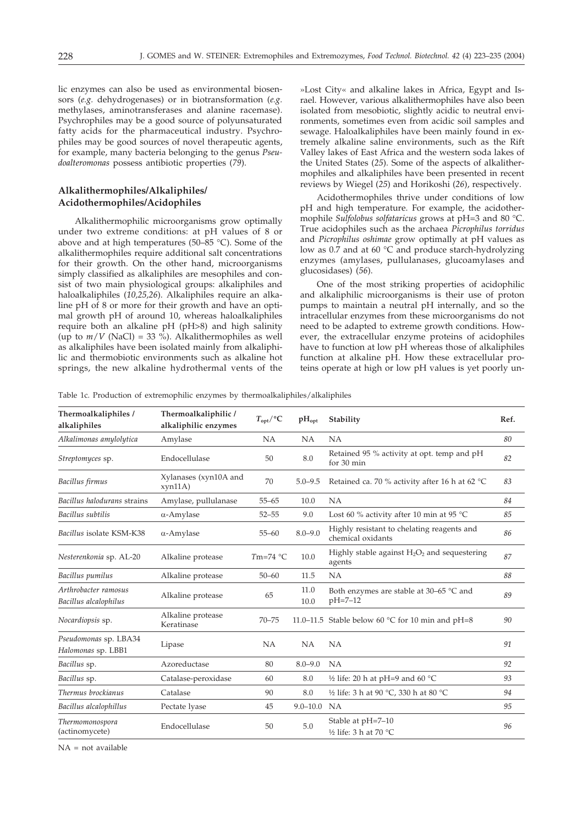lic enzymes can also be used as environmental biosensors (*e.g.* dehydrogenases) or in biotransformation (*e.g.* methylases, aminotransferases and alanine racemase). Psychrophiles may be a good source of polyunsaturated fatty acids for the pharmaceutical industry. Psychrophiles may be good sources of novel therapeutic agents, for example, many bacteria belonging to the genus *Pseudoalteromonas* possess antibiotic properties (*79*).

# **Alkalithermophiles/Alkaliphiles/ Acidothermophiles/Acidophiles**

Alkalithermophilic microorganisms grow optimally under two extreme conditions: at pH values of 8 or above and at high temperatures (50–85 °C). Some of the alkalithermophiles require additional salt concentrations for their growth. On the other hand, microorganisms simply classified as alkaliphiles are mesophiles and consist of two main physiological groups: alkaliphiles and haloalkaliphiles (*10,25,26*). Alkaliphiles require an alkaline pH of 8 or more for their growth and have an optimal growth pH of around 10, whereas haloalkaliphiles require both an alkaline pH (pH>8) and high salinity (up to  $m/V$  (NaCl) = 33 %). Alkalithermophiles as well as alkaliphiles have been isolated mainly from alkaliphilic and thermobiotic environments such as alkaline hot springs, the new alkaline hydrothermal vents of the

»Lost City« and alkaline lakes in Africa, Egypt and Israel. However, various alkalithermophiles have also been isolated from mesobiotic, slightly acidic to neutral environments, sometimes even from acidic soil samples and sewage. Haloalkaliphiles have been mainly found in extremely alkaline saline environments, such as the Rift Valley lakes of East Africa and the western soda lakes of the United States (*25*). Some of the aspects of alkalithermophiles and alkaliphiles have been presented in recent reviews by Wiegel (*25*) and Horikoshi (*26*), respectively.

Acidothermophiles thrive under conditions of low pH and high temperature. For example, the acidothermophile *Sulfolobus solfataricus* grows at pH=3 and 80 °C. True acidophiles such as the archaea *Picrophilus torridus* and *Picrophilus oshimae* grow optimally at pH values as low as 0.7 and at 60 °C and produce starch-hydrolyzing enzymes (amylases, pullulanases, glucoamylases and glucosidases) (*56*).

One of the most striking properties of acidophilic and alkaliphilic microorganisms is their use of proton pumps to maintain a neutral pH internally, and so the intracellular enzymes from these microorganisms do not need to be adapted to extreme growth conditions. However, the extracellular enzyme proteins of acidophiles have to function at low pH whereas those of alkaliphiles function at alkaline pH. How these extracellular proteins operate at high or low pH values is yet poorly un-

Table 1c. Production of extremophilic enzymes by thermoalkaliphiles/alkaliphiles

| Thermoalkaliphiles /<br>alkaliphiles          | Thermoalkaliphilic /<br>alkaliphilic enzymes | $T_{\mathrm{opt}}$ /°C | $pH_{opt}$   | Stability                                                       | Ref. |
|-----------------------------------------------|----------------------------------------------|------------------------|--------------|-----------------------------------------------------------------|------|
| Alkalimonas amylolytica                       | Amylase                                      | <b>NA</b>              | <b>NA</b>    | NA                                                              | 80   |
| Streptomyces sp.                              | Endocellulase                                | 50                     | 8.0          | Retained 95 % activity at opt. temp and pH<br>for 30 min        | 82   |
| Bacillus firmus                               | Xylanases (xyn10A and<br>xyn11A)             | 70                     | $5.0 - 9.5$  | Retained ca. 70 % activity after 16 h at 62 °C                  | 83   |
| Bacillus halodurans strains                   | Amylase, pullulanase                         | $55 - 65$              | 10.0         | <b>NA</b>                                                       | 84   |
| Bacillus subtilis                             | $\alpha$ -Amylase                            | $52 - 55$              | 9.0          | Lost 60 % activity after 10 min at 95 °C                        | 85   |
| Bacillus isolate KSM-K38                      | $\alpha$ -Amylase                            | $55 - 60$              | $8.0 - 9.0$  | Highly resistant to chelating reagents and<br>chemical oxidants | 86   |
| Nesterenkonia sp. AL-20                       | Alkaline protease                            | $Tm=74$ °C             | 10.0         | Highly stable against $H_2O_2$ and sequestering<br>agents       | 87   |
| Bacillus pumilus                              | Alkaline protease                            | $50 - 60$              | 11.5         | <b>NA</b>                                                       | 88   |
| Arthrobacter ramosus<br>Bacillus alcalophilus | Alkaline protease                            | 65                     | 11.0<br>10.0 | Both enzymes are stable at 30–65 °C and<br>$pH = 7 - 12$        | 89   |
| Nocardiopsis sp.                              | Alkaline protease<br>Keratinase              | $70 - 75$              |              | 11.0–11.5 Stable below 60 $\degree$ C for 10 min and pH=8       | 90   |
| Pseudomonas sp. LBA34<br>Halomonas sp. LBB1   | Lipase                                       | <b>NA</b>              | NA           | <b>NA</b>                                                       | 91   |
| Bacillus sp.                                  | Azoreductase                                 | 80                     | $8.0 - 9.0$  | <b>NA</b>                                                       | 92   |
| Bacillus sp.                                  | Catalase-peroxidase                          | 60                     | 8.0          | 1/2 life: 20 h at pH=9 and 60 $^{\circ}$ C                      | 93   |
| Thermus brockianus                            | Catalase                                     | 90                     | 8.0          | 1/2 life: 3 h at 90 °C, 330 h at 80 °C                          | 94   |
| Bacillus alcalophillus                        | Pectate lyase                                | 45                     | $9.0 - 10.0$ | <b>NA</b>                                                       | 95   |
| Thermomonospora<br>(actinomycete)             | Endocellulase                                | 50                     | 5.0          | Stable at pH=7-10<br>1/2 life: 3 h at 70 $^{\circ}$ C           | 96   |

NA = not available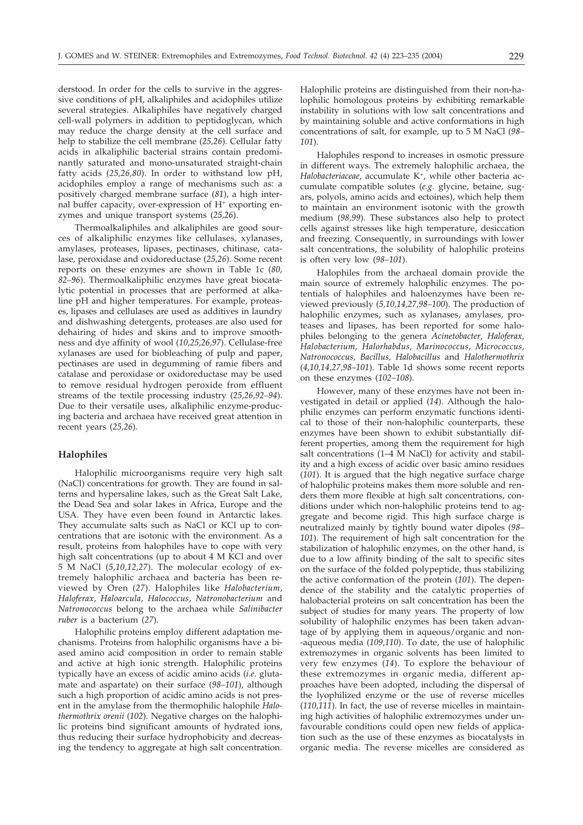derstood. In order for the cells to survive in the aggressive conditions of pH, alkaliphiles and acidophiles utilize several strategies. Alkaliphiles have negatively charged cell-wall polymers in addition to peptidoglycan, which may reduce the charge density at the cell surface and help to stabilize the cell membrane (*25,26*). Cellular fatty acids in alkaliphilic bacterial strains contain predominantly saturated and mono-unsaturated straight-chain fatty acids (*25,26,80*). In order to withstand low pH, acidophiles employ a range of mechanisms such as: a positively charged membrane surface (*81*), a high internal buffer capacity, over-expression of  $H^+$  exporting enzymes and unique transport systems (*25,26*).

Thermoalkaliphiles and alkaliphiles are good sources of alkaliphilic enzymes like cellulases, xylanases, amylases, proteases, lipases, pectinases, chitinase, catalase, peroxidase and oxidoreductase (*25,26*). Some recent reports on these enzymes are shown in Table 1c (*80, 82–96*). Thermoalkaliphilic enzymes have great biocatalytic potential in processes that are performed at alkaline pH and higher temperatures. For example, proteases, lipases and cellulases are used as additives in laundry and dishwashing detergents, proteases are also used for dehairing of hides and skins and to improve smoothness and dye affinity of wool (*10,25,26,97*). Cellulase-free xylanases are used for biobleaching of pulp and paper, pectinases are used in degumming of ramie fibers and catalase and peroxidase or oxidoreductase may be used to remove residual hydrogen peroxide from effluent streams of the textile processing industry (*25,26,92–94*). Due to their versatile uses, alkaliphilic enzyme-producing bacteria and archaea have received great attention in recent years (*25,26*).

# **Halophiles**

Halophilic microorganisms require very high salt (NaCl) concentrations for growth. They are found in salterns and hypersaline lakes, such as the Great Salt Lake, the Dead Sea and solar lakes in Africa, Europe and the USA. They have even been found in Antarctic lakes. They accumulate salts such as NaCl or KCl up to concentrations that are isotonic with the environment. As a result, proteins from halophiles have to cope with very high salt concentrations (up to about 4 M KCl and over 5 M NaCl (*5,10,12,27*). The molecular ecology of extremely halophilic archaea and bacteria has been reviewed by Oren (*27*). Halophiles like *Halobacterium*, *Haloferax*, *Haloarcula*, *Halococcus*, *Natronobacterium* and *Natronococcus* belong to the archaea while *Salinibacter ruber* is a bacterium (*27*).

Halophilic proteins employ different adaptation mechanisms. Proteins from halophilic organisms have a biased amino acid composition in order to remain stable and active at high ionic strength. Halophilic proteins typically have an excess of acidic amino acids (*i.e.* glutamate and aspartate) on their surface (*98–101*), although such a high proportion of acidic amino acids is not present in the amylase from the thermophilic halophile *Halothermothrix orenii* (*102*). Negative charges on the halophilic proteins bind significant amounts of hydrated ions, thus reducing their surface hydrophobicity and decreasing the tendency to aggregate at high salt concentration.

Halophilic proteins are distinguished from their non-halophilic homologous proteins by exhibiting remarkable instability in solutions with low salt concentrations and by maintaining soluble and active conformations in high concentrations of salt, for example, up to 5 M NaCl (*98– 101*).

Halophiles respond to increases in osmotic pressure in different ways. The extremely halophilic archaea, the *Halobacteriaceae*, accumulate K+, while other bacteria accumulate compatible solutes (*e.g.* glycine, betaine, sugars, polyols, amino acids and ectoines), which help them to maintain an environment isotonic with the growth medium (*98,99*). These substances also help to protect cells against stresses like high temperature, desiccation and freezing. Consequently, in surroundings with lower salt concentrations, the solubility of halophilic proteins is often very low (*98–101*).

Halophiles from the archaeal domain provide the main source of extremely halophilic enzymes. The potentials of halophiles and haloenzymes have been reviewed previously (*5,10,14,27,98–100*). The production of halophilic enzymes, such as xylanases, amylases, proteases and lipases, has been reported for some halophiles belonging to the genera *Acinetobacter, Haloferax, Halobacterium, Halorhabdus, Marinococcus, Micrococcus, Natronococcus, Bacillus, Halobacillus* and *Halothermothrix* (*4,10,14,27,98–101*). Table 1d shows some recent reports on these enzymes (*102–108*).

However, many of these enzymes have not been investigated in detail or applied (*14*). Although the halophilic enzymes can perform enzymatic functions identical to those of their non-halophilic counterparts, these enzymes have been shown to exhibit substantially different properties, among them the requirement for high salt concentrations (1–4 M NaCl) for activity and stability and a high excess of acidic over basic amino residues (*101*). It is argued that the high negative surface charge of halophilic proteins makes them more soluble and renders them more flexible at high salt concentrations, conditions under which non-halophilic proteins tend to aggregate and become rigid. This high surface charge is neutralized mainly by tightly bound water dipoles (*98– 101*). The requirement of high salt concentration for the stabilization of halophilic enzymes, on the other hand, is due to a low affinity binding of the salt to specific sites on the surface of the folded polypeptide, thus stabilizing the active conformation of the protein (*101*). The dependence of the stability and the catalytic properties of halobacterial proteins on salt concentration has been the subject of studies for many years. The property of low solubility of halophilic enzymes has been taken advantage of by applying them in aqueous/organic and non- -aqueous media (*109,110*). To date, the use of halophilic extremozymes in organic solvents has been limited to very few enzymes (*14*). To explore the behaviour of these extremozymes in organic media, different approaches have been adopted, including the dispersal of the lyophilized enzyme or the use of reverse micelles (*110,111*). In fact, the use of reverse micelles in maintaining high activities of halophilic extremozymes under unfavourable conditions could open new fields of application such as the use of these enzymes as biocatalysts in organic media. The reverse micelles are considered as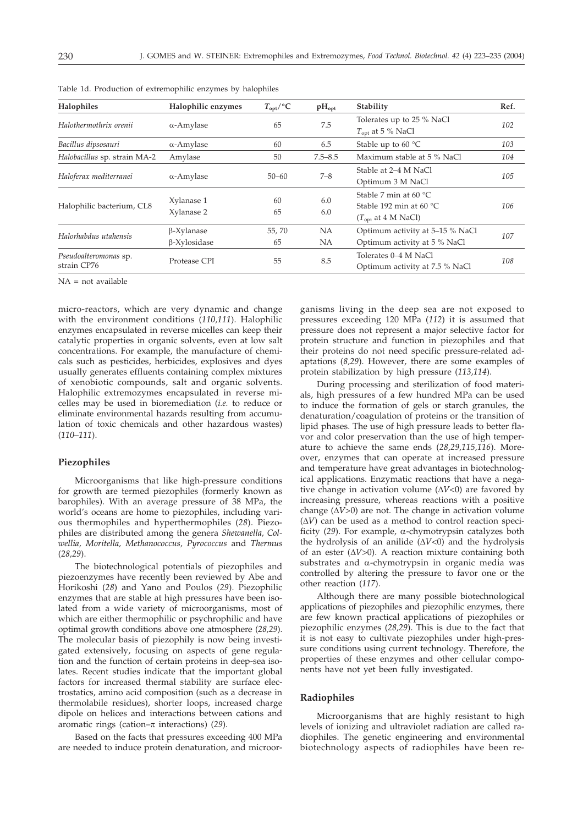| Halophilic enzymes                | $T_{\rm opt}/^{\circ}C$ | $pH_{opt}$             | Stability                                                                                         | Ref. |
|-----------------------------------|-------------------------|------------------------|---------------------------------------------------------------------------------------------------|------|
| $\alpha$ -Amylase                 | 65                      | 7.5                    | Tolerates up to 25 % NaCl<br>$T_{\text{opt}}$ at 5 % NaCl                                         | 102  |
| $\alpha$ -Amylase                 | 60                      | 6.5                    | Stable up to 60 $\degree$ C                                                                       | 103  |
| Amylase                           | 50                      | $7.5 - 8.5$            | Maximum stable at 5 % NaCl                                                                        | 104  |
| $\alpha$ -Amylase                 | $50 - 60$               | $7 - 8$                | Stable at 2–4 M NaCl<br>Optimum 3 M NaCl                                                          | 105  |
| Xylanase 1<br>Xylanase 2          | 60<br>65                | 6.0<br>6.0             | Stable 7 min at 60 $\degree$ C<br>Stable 192 min at 60 $\degree$ C<br>$(T_{\rm opt}$ at 4 M NaCl) | 106  |
| $\beta$ -Xylanase<br>β-Xylosidase | 55,70<br>65             | <b>NA</b><br><b>NA</b> | Optimum activity at 5-15 % NaCl<br>Optimum activity at 5 % NaCl                                   | 107  |
| Protease CPI                      | 55                      | 8.5                    | Tolerates 0–4 M NaCl<br>Optimum activity at 7.5 % NaCl                                            | 108  |
|                                   |                         |                        |                                                                                                   |      |

Table 1d. Production of extremophilic enzymes by halophiles

 $NA = not available$ 

micro-reactors, which are very dynamic and change with the environment conditions (*110,111*). Halophilic enzymes encapsulated in reverse micelles can keep their catalytic properties in organic solvents, even at low salt concentrations. For example, the manufacture of chemicals such as pesticides, herbicides, explosives and dyes usually generates effluents containing complex mixtures of xenobiotic compounds, salt and organic solvents. Halophilic extremozymes encapsulated in reverse micelles may be used in bioremediation (*i.e.* to reduce or eliminate environmental hazards resulting from accumulation of toxic chemicals and other hazardous wastes) (*110–111*).

# **Piezophiles**

Microorganisms that like high-pressure conditions for growth are termed piezophiles (formerly known as barophiles). With an average pressure of 38 MPa, the world's oceans are home to piezophiles, including various thermophiles and hyperthermophiles (*28*). Piezophiles are distributed among the genera *Shewanella, Colwellia, Moritella, Methanococcus, Pyrococcus* and *Thermus* (*28,29*).

The biotechnological potentials of piezophiles and piezoenzymes have recently been reviewed by Abe and Horikoshi (*28*) and Yano and Poulos (*29*). Piezophilic enzymes that are stable at high pressures have been isolated from a wide variety of microorganisms, most of which are either thermophilic or psychrophilic and have optimal growth conditions above one atmosphere (*28,29*). The molecular basis of piezophily is now being investigated extensively, focusing on aspects of gene regulation and the function of certain proteins in deep-sea isolates. Recent studies indicate that the important global factors for increased thermal stability are surface electrostatics, amino acid composition (such as a decrease in thermolabile residues), shorter loops, increased charge dipole on helices and interactions between cations and aromatic rings (cation– $\pi$  interactions) (29).

Based on the facts that pressures exceeding 400 MPa are needed to induce protein denaturation, and microorganisms living in the deep sea are not exposed to pressures exceeding 120 MPa (*112*) it is assumed that pressure does not represent a major selective factor for protein structure and function in piezophiles and that their proteins do not need specific pressure-related adaptations (*8,29*). However, there are some examples of protein stabilization by high pressure (*113,114*).

During processing and sterilization of food materials, high pressures of a few hundred MPa can be used to induce the formation of gels or starch granules, the denaturation/coagulation of proteins or the transition of lipid phases. The use of high pressure leads to better flavor and color preservation than the use of high temperature to achieve the same ends (*28,29,115,116*). Moreover, enzymes that can operate at increased pressure and temperature have great advantages in biotechnological applications. Enzymatic reactions that have a negative change in activation volume  $(\Delta V<0)$  are favored by increasing pressure, whereas reactions with a positive change  $(\Delta V>0)$  are not. The change in activation volume  $(\Delta V)$  can be used as a method to control reaction specificity (29). For example,  $\alpha$ -chymotrypsin catalyzes both the hydrolysis of an anilide  $(\Delta V<0)$  and the hydrolysis of an ester  $(\Delta V>0)$ . A reaction mixture containing both substrates and  $\alpha$ -chymotrypsin in organic media was controlled by altering the pressure to favor one or the other reaction (*117*).

Although there are many possible biotechnological applications of piezophiles and piezophilic enzymes, there are few known practical applications of piezophiles or piezophilic enzymes (*28,29*). This is due to the fact that it is not easy to cultivate piezophiles under high-pressure conditions using current technology. Therefore, the properties of these enzymes and other cellular components have not yet been fully investigated.

#### **Radiophiles**

Microorganisms that are highly resistant to high levels of ionizing and ultraviolet radiation are called radiophiles. The genetic engineering and environmental biotechnology aspects of radiophiles have been re-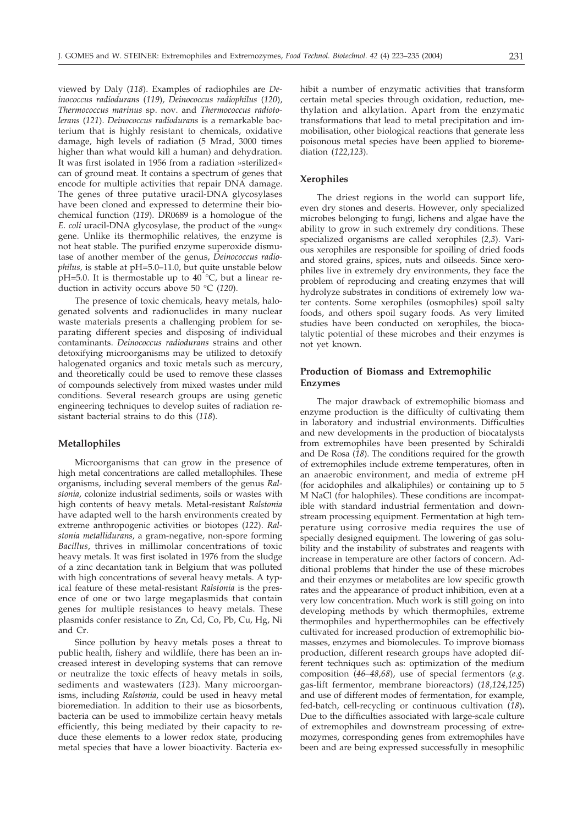viewed by Daly (*118*). Examples of radiophiles are *Deinococcus radiodurans* (*119*), *Deinococcus radiophilus* (*120*), *Thermococcus marinus* sp. nov. and *Thermococcus radiotolerans* (*121*). *Deinococcus radiodurans* is a remarkable bacterium that is highly resistant to chemicals, oxidative damage, high levels of radiation (5 Mrad, 3000 times higher than what would kill a human) and dehydration. It was first isolated in 1956 from a radiation »sterilized« can of ground meat. It contains a spectrum of genes that encode for multiple activities that repair DNA damage. The genes of three putative uracil-DNA glycosylases have been cloned and expressed to determine their biochemical function (*119*). DR0689 is a homologue of the *E. coli* uracil-DNA glycosylase, the product of the »ung« gene. Unlike its thermophilic relatives, the enzyme is not heat stable. The purified enzyme superoxide dismutase of another member of the genus, *Deinococcus radiophilus,* is stable at pH=5.0–11.0, but quite unstable below pH=5.0. It is thermostable up to  $40^{\degree}$ °C, but a linear reduction in activity occurs above 50 °C (*120*).

The presence of toxic chemicals, heavy metals, halogenated solvents and radionuclides in many nuclear waste materials presents a challenging problem for separating different species and disposing of individual contaminants. *Deinococcus radiodurans* strains and other detoxifying microorganisms may be utilized to detoxify halogenated organics and toxic metals such as mercury, and theoretically could be used to remove these classes of compounds selectively from mixed wastes under mild conditions. Several research groups are using genetic engineering techniques to develop suites of radiation resistant bacterial strains to do this (*118*).

## **Metallophiles**

Microorganisms that can grow in the presence of high metal concentrations are called metallophiles. These organisms, including several members of the genus *Ralstonia*, colonize industrial sediments, soils or wastes with high contents of heavy metals. Metal-resistant *Ralstonia* have adapted well to the harsh environments created by extreme anthropogenic activities or biotopes (*122*). *Ralstonia metallidurans*, a gram-negative, non-spore forming *Bacillus*, thrives in millimolar concentrations of toxic heavy metals. It was first isolated in 1976 from the sludge of a zinc decantation tank in Belgium that was polluted with high concentrations of several heavy metals. A typical feature of these metal-resistant *Ralstonia* is the presence of one or two large megaplasmids that contain genes for multiple resistances to heavy metals. These plasmids confer resistance to Zn, Cd, Co, Pb, Cu, Hg, Ni and Cr.

Since pollution by heavy metals poses a threat to public health, fishery and wildlife, there has been an increased interest in developing systems that can remove or neutralize the toxic effects of heavy metals in soils, sediments and wastewaters (*123*). Many microorganisms, including *Ralstonia*, could be used in heavy metal bioremediation. In addition to their use as biosorbents, bacteria can be used to immobilize certain heavy metals efficiently, this being mediated by their capacity to reduce these elements to a lower redox state, producing metal species that have a lower bioactivity. Bacteria exhibit a number of enzymatic activities that transform certain metal species through oxidation, reduction, methylation and alkylation. Apart from the enzymatic transformations that lead to metal precipitation and immobilisation, other biological reactions that generate less poisonous metal species have been applied to bioremediation (*122,123*).

## **Xerophiles**

The driest regions in the world can support life, even dry stones and deserts. However, only specialized microbes belonging to fungi, lichens and algae have the ability to grow in such extremely dry conditions. These specialized organisms are called xerophiles (*2,3*). Various xerophiles are responsible for spoiling of dried foods and stored grains, spices, nuts and oilseeds. Since xerophiles live in extremely dry environments, they face the problem of reproducing and creating enzymes that will hydrolyze substrates in conditions of extremely low water contents. Some xerophiles (osmophiles) spoil salty foods, and others spoil sugary foods. As very limited studies have been conducted on xerophiles, the biocatalytic potential of these microbes and their enzymes is not yet known.

# **Production of Biomass and Extremophilic Enzymes**

The major drawback of extremophilic biomass and enzyme production is the difficulty of cultivating them in laboratory and industrial environments. Difficulties and new developments in the production of biocatalysts from extremophiles have been presented by Schiraldi and De Rosa (*18*). The conditions required for the growth of extremophiles include extreme temperatures, often in an anaerobic environment, and media of extreme pH (for acidophiles and alkaliphiles) or containing up to 5 M NaCl (for halophiles). These conditions are incompatible with standard industrial fermentation and downstream processing equipment. Fermentation at high temperature using corrosive media requires the use of specially designed equipment. The lowering of gas solubility and the instability of substrates and reagents with increase in temperature are other factors of concern. Additional problems that hinder the use of these microbes and their enzymes or metabolites are low specific growth rates and the appearance of product inhibition, even at a very low concentration. Much work is still going on into developing methods by which thermophiles, extreme thermophiles and hyperthermophiles can be effectively cultivated for increased production of extremophilic biomasses, enzymes and biomolecules. To improve biomass production, different research groups have adopted different techniques such as: optimization of the medium composition (*46–48,68*), use of special fermentors (*e.g.* gas-lift fermentor, membrane bioreactors) (*18,124,125*) and use of different modes of fermentation, for example, fed-batch, cell-recycling or continuous cultivation (*18*)**.** Due to the difficulties associated with large-scale culture of extremophiles and downstream processing of extremozymes, corresponding genes from extremophiles have been and are being expressed successfully in mesophilic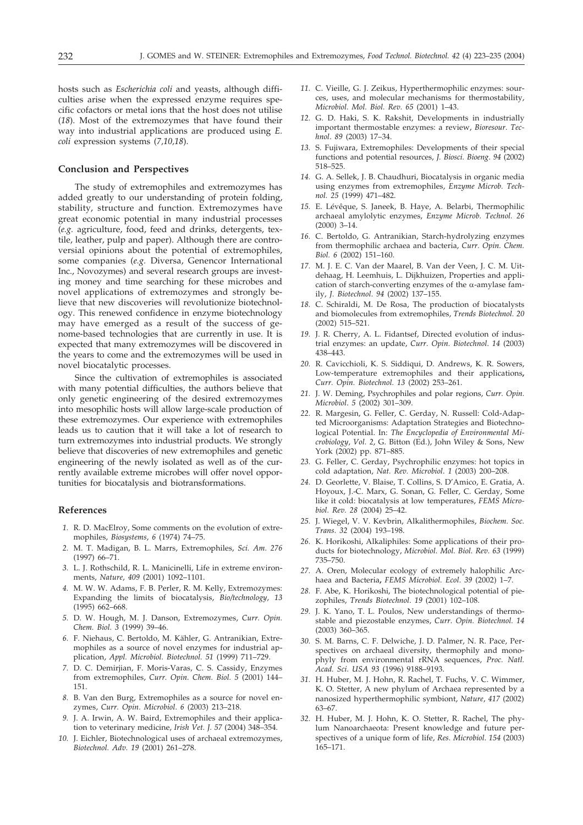hosts such as *Escherichia coli* and yeasts, although difficulties arise when the expressed enzyme requires specific cofactors or metal ions that the host does not utilise (*18*). Most of the extremozymes that have found their way into industrial applications are produced using *E. coli* expression systems (*7,10,18*).

### **Conclusion and Perspectives**

The study of extremophiles and extremozymes has added greatly to our understanding of protein folding, stability, structure and function. Extremozymes have great economic potential in many industrial processes (*e.g.* agriculture, food, feed and drinks, detergents, textile, leather, pulp and paper). Although there are controversial opinions about the potential of extremophiles, some companies (*e.g.* Diversa, Genencor International Inc., Novozymes) and several research groups are investing money and time searching for these microbes and novel applications of extremozymes and strongly believe that new discoveries will revolutionize biotechnology. This renewed confidence in enzyme biotechnology may have emerged as a result of the success of genome-based technologies that are currently in use. It is expected that many extremozymes will be discovered in the years to come and the extremozymes will be used in novel biocatalytic processes.

Since the cultivation of extremophiles is associated with many potential difficulties, the authors believe that only genetic engineering of the desired extremozymes into mesophilic hosts will allow large-scale production of these extremozymes. Our experience with extremophiles leads us to caution that it will take a lot of research to turn extremozymes into industrial products. We strongly believe that discoveries of new extremophiles and genetic engineering of the newly isolated as well as of the currently available extreme microbes will offer novel opportunities for biocatalysis and biotransformations.

#### **References**

- *1.* R. D. MacElroy, Some comments on the evolution of extremophiles, *Biosystems*, *6* (1974) 74–75.
- *2.* M. T. Madigan, B. L. Marrs, Extremophiles, *Sci. Am. 276* (1997) 66–71.
- *3.* L. J. Rothschild, R. L. Manicinelli, Life in extreme environments, *Nature*, *409* (2001) 1092–1101.
- *4.* M. W. W. Adams, F. B. Perler, R. M. Kelly, Extremozymes: Expanding the limits of biocatalysis, *Bio/technology*, *13* (1995) 662–668.
- *5.* D. W. Hough, M. J. Danson, Extremozymes, *Curr. Opin. Chem. Biol. 3* (1999) 39–46.
- *6.* F. Niehaus, C. Bertoldo, M. Kähler, G. Antranikian, Extremophiles as a source of novel enzymes for industrial application, *Appl. Microbiol. Biotechnol. 51* (1999) 711–729.
- *7.* D. C. Demirjian, F. Moris-Varas, C. S. Cassidy, Enzymes from extremophiles, *Curr. Opin. Chem. Biol. 5* (2001) 144– 151.
- *8.* B. Van den Burg, Extremophiles as a source for novel enzymes, *Curr. Opin. Microbiol*. *6* (2003) 213–218.
- *9.* J. A. Irwin, A. W. Baird, Extremophiles and their application to veterinary medicine, *Irish Vet. J. 57* (2004) 348–354.
- *10.* J. Eichler, Biotechnological uses of archaeal extremozymes, *Biotechnol. Adv. 19* (2001) 261–278.
- *11.* C. Vieille, G. J. Zeikus, Hyperthermophilic enzymes: sources, uses, and molecular mechanisms for thermostability, *Microbiol. Mol. Biol. Rev. 65* (2001) 1–43.
- *12.* G. D. Haki, S. K. Rakshit, Developments in industrially important thermostable enzymes: a review, *Bioresour. Technol*. *89* (2003) 17–34.
- *13.* S. Fujiwara, Extremophiles: Developments of their special functions and potential resources, *J. Biosci. Bioeng*. *94* (2002) 518–525.
- *14.* G. A. Sellek, J. B. Chaudhuri, Biocatalysis in organic media using enzymes from extremophiles, *Enzyme Microb. Technol. 25* (1999) 471–482.
- *15.* E. Lévêque, S. Janeek, B. Haye, A. Belarbi, Thermophilic archaeal amylolytic enzymes, *Enzyme Microb. Technol. 26* (2000) 3–14.
- *16.* C. Bertoldo, G. Antranikian, Starch-hydrolyzing enzymes from thermophilic archaea and bacteria, *Curr. Opin. Chem. Biol. 6* (2002) 151–160.
- *17.* M. J. E. C. Van der Maarel, B. Van der Veen, J. C. M. Uitdehaag, H. Leemhuis, L. Dijkhuizen, Properties and application of starch-converting enzymes of the  $\alpha$ -amylase family, *J. Biotechnol*. *94* (2002) 137–155.
- *18.* C. Schiraldi, M. De Rosa, The production of biocatalysts and biomolecules from extremophiles, *Trends Biotechnol. 20* (2002) 515–521.
- *19.* J. R. Cherry, A. L. Fidantsef, Directed evolution of industrial enzymes: an update, *Curr. Opin. Biotechnol*. *14* (2003) 438–443.
- *20.* R. Cavicchioli, K. S. Siddiqui, D. Andrews, K. R. Sowers, Low-temperature extremophiles and their applications**,** *Curr. Opin. Biotechnol. 13* (2002) 253–261.
- *21.* J. W. Deming, Psychrophiles and polar regions, *Curr. Opin. Microbiol*. *5* (2002) 301–309.
- *22.* R. Margesin, G. Feller, C. Gerday, N. Russell: Cold-Adapted Microorganisms: Adaptation Strategies and Biotechnological Potential. In: *The Encyclopedia of Environmental Microbiology*, *Vol. 2*, G. Bitton (Ed.), John Wiley & Sons, New York (2002) pp. 871–885.
- *23.* G. Feller, C. Gerday, Psychrophilic enzymes: hot topics in cold adaptation, *Nat. Rev. Microbiol*. *1* (2003) 200–208.
- *24.* D. Georlette, V. Blaise, T. Collins, S. D'Amico, E. Gratia, A. Hoyoux, J.-C. Marx, G. Sonan, G. Feller, C. Gerday, Some like it cold: biocatalysis at low temperatures, *FEMS Microbiol. Rev. 28* (2004) 25–42.
- *25.* J. Wiegel, V. V. Kevbrin, Alkalithermophiles, *Biochem. Soc. Trans. 32* (2004) 193–198.
- *26.* K. Horikoshi, Alkaliphiles: Some applications of their products for biotechnology, *Microbiol. Mol. Biol. Rev. 63* (1999) 735–750.
- *27.* A. Oren, Molecular ecology of extremely halophilic Archaea and Bacteria**,** *FEMS Microbiol. Ecol*. *39* (2002) 1–7.
- *28.* F. Abe, K. Horikoshi, The biotechnological potential of piezophiles, *Trends Biotechnol*. *19* (2001) 102–108.
- *29.* J. K. Yano, T. L. Poulos, New understandings of thermostable and piezostable enzymes, *Curr. Opin. Biotechnol. 14* (2003) 360–365.
- *30.* S. M. Barns, C. F. Delwiche, J. D. Palmer, N. R. Pace, Perspectives on archaeal diversity, thermophily and monophyly from environmental rRNA sequences, *Proc. Natl. Acad. Sci. USA 93* (1996) 9188–9193.
- *31.* H. Huber, M. J. Hohn, R. Rachel, T. Fuchs, V. C. Wimmer, K. O. Stetter, A new phylum of Archaea represented by a nanosized hyperthermophilic symbiont, *Nature*, *417* (2002) 63–67.
- *32.* H. Huber, M. J. Hohn, K. O. Stetter, R. Rachel, The phylum Nanoarchaeota: Present knowledge and future perspectives of a unique form of life, *Res. Microbiol*. *154* (2003) 165–171.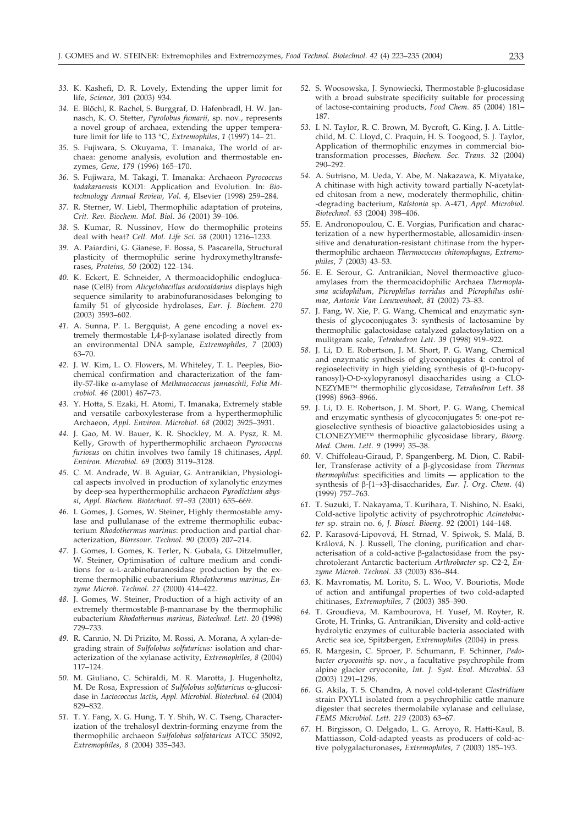- *33.* K. Kashefi, D. R. Lovely, Extending the upper limit for life, *Science*, *301* (2003) 934.
- *34.* E. Blöchl, R. Rachel, S. Burggraf, D. Hafenbradl, H. W. Jannasch, K. O. Stetter, *Pyrolobus fumarii*, sp. nov., represents a novel group of archaea, extending the upper temperature limit for life to 113 °C, *Extremophiles*, *1* (1997) 14– 21.
- *35.* S. Fujiwara, S. Okuyama, T. Imanaka, The world of archaea: genome analysis, evolution and thermostable enzymes, *Gene*, *179* (1996) 165–170.
- *36.* S. Fujiwara, M. Takagi, T. Imanaka: Archaeon *Pyrococcus kodakaraensis* KOD1: Application and Evolution. In: *Biotechnology Annual Review, Vol. 4*, Elsevier (1998) 259–284.
- *37.* R. Sterner, W. Liebl, Thermophilic adaptation of proteins, *Crit. Rev. Biochem. Mol. Biol*. *36* (2001) 39–106.
- *38.* S. Kumar, R. Nussinov, How do thermophilic proteins deal with heat? *Cell. Mol. Life Sci*. *58* (2001) 1216–1233.
- *39.* A. Paiardini, G. Gianese, F. Bossa, S. Pascarella, Structural plasticity of thermophilic serine hydroxymethyltransferases, *Proteins, 50* (2002) 122–134.
- *40.* K. Eckert, E. Schneider, A thermoacidophilic endoglucanase (CelB) from *Alicyclobacillus acidocaldarius* displays high sequence similarity to arabinofuranosidases belonging to family 51 of glycoside hydrolases, *Eur. J. Biochem*. *270* (2003) 3593–602.
- *41.* A. Sunna, P. L. Bergquist, A gene encoding a novel extremely thermostable 1,4-β-xylanase isolated directly from an environmental DNA sample, *Extremophiles*, *7* (2003) 63–70.
- *42.* J. W. Kim, L. O. Flowers, M. Whiteley, T. L. Peeples, Biochemical confirmation and characterization of the family-57-like a-amylase of Methanococcus jannaschii, Folia Mi*crobiol. 46* (2001) 467–73.
- *43.* Y. Hotta, S. Ezaki, H. Atomi, T. Imanaka, Extremely stable and versatile carboxylesterase from a hyperthermophilic Archaeon, *Appl. Environ. Microbiol*. *68* (2002) 3925–3931.
- *44.* J. Gao, M. W. Bauer, K. R. Shockley, M. A. Pysz, R. M. Kelly, Growth of hyperthermophilic archaeon *Pyrococcus furiosus* on chitin involves two family 18 chitinases, *Appl. Environ. Microbiol. 69* (2003) 3119–3128.
- *45.* C. M. Andrade, W. B. Aguiar, G. Antranikian, Physiological aspects involved in production of xylanolytic enzymes by deep-sea hyperthermophilic archaeon *Pyrodictium abyssi*, *Appl. Biochem. Biotechnol. 91–93* (2001) 655–669.
- *46.* I. Gomes, J. Gomes, W. Steiner, Highly thermostable amylase and pullulanase of the extreme thermophilic eubacterium *Rhodothermus marinus*: production and partial characterization, *Bioresour. Technol. 90* (2003) 207–214.
- *47.* J. Gomes, I. Gomes, K. Terler, N. Gubala, G. Ditzelmuller, W. Steiner, Optimisation of culture medium and conditions for  $\alpha$ -L-arabinofuranosidase production by the extreme thermophilic eubacterium *Rhodothermus marinus*, *Enzyme Microb. Technol*. *27* (2000) 414–422.
- *48.* J. Gomes, W. Steiner, Production of a high activity of an  $extremely$  thermostable  $\beta$ -mannanase by the thermophilic eubacterium *Rhodothermus marinus*, *Biotechnol. Lett. 20* (1998) 729–733.
- *49.* R. Cannio, N. Di Prizito, M. Rossi, A. Morana, A xylan-degrading strain of *Sulfolobus solfataricus:* isolation and characterization of the xylanase activity, *Extremophiles*, *8* (2004) 117–124.
- *50.* M. Giuliano, C. Schiraldi, M. R. Marotta, J. Hugenholtz, M. De Rosa, Expression of *Sulfolobus solfataricus* α-glucosidase in *Lactococcus lactis***,** *Appl. Microbiol. Biotechnol*. *64* (2004) 829–832.
- *51.* T. Y. Fang, X. G. Hung, T. Y. Shih, W. C. Tseng, Characterization of the trehalosyl dextrin-forming enzyme from the thermophilic archaeon *Sulfolobus solfataricus* ATCC 35092, *Extremophiles*, *8* (2004) 335–343.
- 52. S. Woosowska, J. Synowiecki, Thermostable β-glucosidase with a broad substrate specificity suitable for processing of lactose-containing products, *Food Chem. 85* (2004) 181– 187.
- *53.* I. N. Taylor, R. C. Brown, M. Bycroft, G. King, J. A. Littlechild, M. C. Lloyd, C. Praquin, H. S. Toogood, S. J. Taylor, Application of thermophilic enzymes in commercial biotransformation processes, *Biochem. Soc. Trans. 32* (2004) 290–292.
- *54.* A. Sutrisno, M. Ueda, Y. Abe, M. Nakazawa, K. Miyatake, A chitinase with high activity toward partially N-acetylated chitosan from a new, moderately thermophilic, chitin- -degrading bacterium, *Ralstonia* sp. A-471, *Appl. Microbiol. Biotechnol*. *63* (2004) 398–406.
- *55.* E. Andronopoulou, C. E. Vorgias, Purification and characterization of a new hyperthermostable, allosamidin-insensitive and denaturation-resistant chitinase from the hyperthermophilic archaeon *Thermococcus chitonophagus*, *Extremophiles*, *7* (2003) 43–53.
- *56.* E. E. Serour, G. Antranikian, Novel thermoactive glucoamylases from the thermoacidophilic Archaea *Thermoplasma acidophilum, Picrophilus torridus* and *Picrophilus oshimae*, *Antonie Van Leeuwenhoek, 81* (2002) 73–83.
- *57.* J. Fang, W. Xie, P. G. Wang, Chemical and enzymatic synthesis of glycoconjugates 3: synthesis of lactosamine by thermophilic galactosidase catalyzed galactosylation on a mulitgram scale, *Tetrahedron Lett*. *39* (1998) 919–922.
- *58.* J. Li, D. E. Robertson, J. M. Short, P. G. Wang, Chemical and enzymatic synthesis of glycoconjugates 4: control of  $regioselectivity$  in high yielding synthesis of  $(\beta$ -D-fucopyranosyl)-O-D-xylopyranosyl disaccharides using a CLO-NEZYME™ thermophilic glycosidase, *Tetrahedron Lett*. *38* (1998) 8963–8966.
- *59.* J. Li, D. E. Robertson, J. M. Short, P. G. Wang, Chemical and enzymatic synthesis of glycoconjugates 5: one-pot regioselective synthesis of bioactive galactobiosides using a CLONEZYME™ thermophilic glycosidase library, *Bioorg. Med. Chem. Lett. 9* (1999) 35–38.
- *60.* V. Chiffoleau-Giraud, P. Spangenberg, M. Dion, C. Rabiller, Transferase activity of a β-glycosidase from *Thermus thermophilus*: specificities and limits — application to the synthesis of β-[1→3]-disaccharides*, Eur*. *J. Org. Chem.* (4) (1999) 757–763.
- *61.* T. Suzuki, T. Nakayama, T. Kurihara, T. Nishino, N. Esaki, Cold-active lipolytic activity of psychrotrophic *Acinetobacter* sp. strain no. 6, *J. Biosci. Bioeng*. *92* (2001) 144–148.
- *62.* P. Karasová-Lipovová, H. Strnad, V. Spiwok, S. Malá, B. Králová, N. J. Russell, The cloning, purification and characterisation of a cold-active  $\beta$ -galactosidase from the psychrotolerant Antarctic bacterium *Arthrobacter* sp. C2-2, *Enzyme Microb. Technol*. *33* (2003) 836–844.
- *63.* K. Mavromatis, M. Lorito, S. L. Woo, V. Bouriotis, Mode of action and antifungal properties of two cold-adapted chitinases, *Extremophiles*, *7* (2003) 385–390.
- *64.* T. Groudieva, M. Kambourova, H. Yusef, M. Royter, R. Grote, H. Trinks, G. Antranikian, Diversity and cold-active hydrolytic enzymes of culturable bacteria associated with Arctic sea ice, Spitzbergen, *Extremophiles* (2004) in press.
- *65.* R. Margesin, C. Sproer, P. Schumann, F. Schinner, *Pedobacter cryoconitis* sp. nov., a facultative psychrophile from alpine glacier cryoconite, *Int. J. Syst. Evol. Microbiol*. *53* (2003) 1291–1296.
- *66.* G. Akila, T. S. Chandra, A novel cold-tolerant *Clostridium* strain PXYL1 isolated from a psychrophilic cattle manure digester that secretes thermolabile xylanase and cellulase, *FEMS Microbiol*. *Lett*. *219* (2003) 63–67.
- *67.* H. Birgisson, O. Delgado, L. G. Arroyo, R. Hatti-Kaul, B. Mattiasson, Cold-adapted yeasts as producers of cold-active polygalacturonases**,** *Extremophiles*, *7* (2003) 185–193.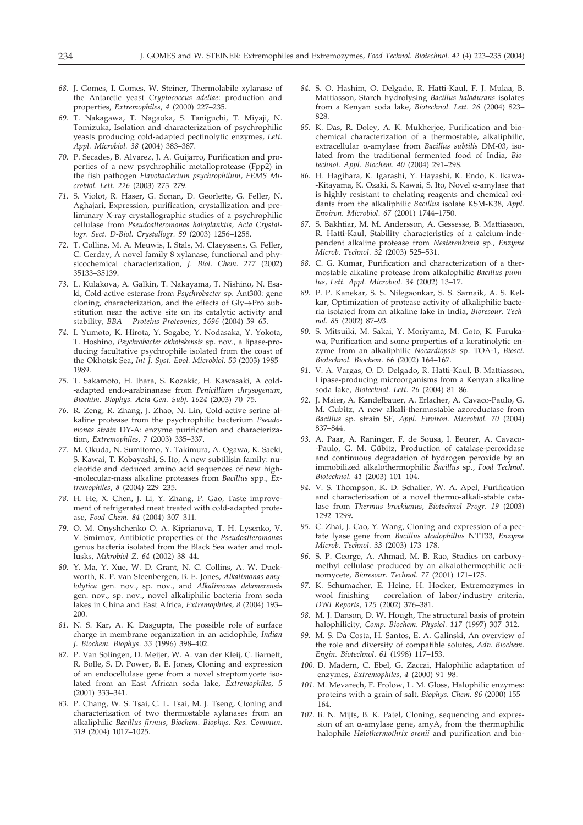- *68.* J. Gomes, I. Gomes, W. Steiner, Thermolabile xylanase of the Antarctic yeast *Cryptococcus adeliae*: production and properties, *Extremophiles*, *4* (2000) 227–235.
- *69.* T. Nakagawa, T. Nagaoka, S. Taniguchi, T. Miyaji, N. Tomizuka, Isolation and characterization of psychrophilic yeasts producing cold-adapted pectinolytic enzymes, *Lett. Appl. Microbiol. 38* (2004) 383–387.
- *70.* P. Secades, B. Alvarez, J. A. Guijarro, Purification and properties of a new psychrophilic metalloprotease (Fpp2) in the fish pathogen *Flavobacterium psychrophilum*, *FEMS Microbiol*. *Lett. 226* (2003) 273–279.
- *71.* S. Violot, R. Haser, G. Sonan, D. Georlette, G. Feller, N. Aghajari, Expression, purification, crystallization and preliminary X-ray crystallographic studies of a psychrophilic cellulase from *Pseudoalteromonas haloplanktis*, *Acta Crystallogr. Sect. D-Biol. Crystallogr. 59* (2003) 1256–1258.
- *72.* T. Collins, M. A. Meuwis, I. Stals, M. Claeyssens, G. Feller, C. Gerday, A novel family 8 xylanase, functional and physicochemical characterization, *J*. *Biol*. *Chem*. *277* (2002) 35133–35139.
- *73.* L. Kulakova, A. Galkin, T. Nakayama, T. Nishino, N. Esaki, Cold-active esterase from *Psychrobacter* sp. Ant300: gene cloning, characterization, and the effects of  $Gly \rightarrow Pro$  substitution near the active site on its catalytic activity and stability, *BBA – Proteins Proteomics, 1696* (2004) 59–65.
- *74.* I. Yumoto, K. Hirota, Y. Sogabe, Y. Nodasaka, Y. Yokota, T. Hoshino, *Psychrobacter okhotskensis* sp. nov., a lipase-producing facultative psychrophile isolated from the coast of the Okhotsk Sea, *Int J. Syst. Evol. Microbiol. 53* (2003) 1985– 1989.
- *75.* T. Sakamoto, H. Ihara, S. Kozakic, H. Kawasaki, A cold- -adapted endo-arabinanase from *Penicillium chrysogenum*, *Biochim. Biophys. Acta-Gen. Subj. 1624* (2003) 70–75.
- *76.* R. Zeng, R. Zhang, J. Zhao, N. Lin**,** Cold-active serine alkaline protease from the psychrophilic bacterium *Pseudomonas strain* DY-A: enzyme purification and characterization, *Extremophiles*, *7* (2003) 335–337.
- *77.* M. Okuda, N. Sumitomo, Y. Takimura, A. Ogawa, K. Saeki, S. Kawai, T. Kobayashi, S. Ito, A new subtilisin family: nucleotide and deduced amino acid sequences of new high- -molecular-mass alkaline proteases from *Bacillus* spp., *Extremophiles*, *8* (2004) 229–235.
- *78.* H. He, X. Chen, J. Li, Y. Zhang, P. Gao, Taste improvement of refrigerated meat treated with cold-adapted protease**,** *Food Chem. 84* (2004) 307–311.
- *79.* O. M. Onyshchenko O. A. Kiprianova, T. H. Lysenko, V. V. Smirnov, Antibiotic properties of the *Pseudoalteromonas* genus bacteria isolated from the Black Sea water and mollusks, *Mikrobiol Z*. *64* (2002) 38–44.
- *80.* Y. Ma, Y. Xue, W. D. Grant, N. C. Collins, A. W. Duckworth, R. P. van Steenbergen, B. E. Jones, *Alkalimonas amylolytica* gen. nov., sp. nov., and *Alkalimonas delamerensis* gen. nov., sp. nov., novel alkaliphilic bacteria from soda lakes in China and East Africa, *Extremophiles, 8* (2004) 193– 200.
- *81.* N. S. Kar, A. K. Dasgupta, The possible role of surface charge in membrane organization in an acidophile, *Indian J. Biochem. Biophys*. *33* (1996) 398–402.
- *82.* P. Van Solingen, D. Meijer, W. A. van der Kleij, C. Barnett, R. Bolle, S. D. Power, B. E. Jones, Cloning and expression of an endocellulase gene from a novel streptomycete isolated from an East African soda lake, *Extremophiles, 5* (2001) 333–341.
- *83.* P. Chang, W. S. Tsai, C. L. Tsai, M. J. Tseng, Cloning and characterization of two thermostable xylanases from an alkaliphilic *Bacillus firmus*, *Biochem. Biophys. Res. Commun*. *319* (2004) 1017–1025.
- *84.* S. O. Hashim, O. Delgado, R. Hatti-Kaul, F. J. Mulaa, B. Mattiasson, Starch hydrolysing *Bacillus halodurans* isolates from a Kenyan soda lake, *Biotechnol. Lett. 26* (2004) 823– 828.
- *85.* K. Das, R. Doley, A. K. Mukherjee, Purification and biochemical characterization of a thermostable, alkaliphilic,  $extracellular \alpha-amylase from *Bacillus subtilis* DM-03, iso$ lated from the traditional fermented food of India, *Biotechnol. Appl. Biochem*. *40* (2004) 291–298.
- *86.* H. Hagihara, K. Igarashi, Y. Hayashi, K. Endo, K. Ikawa- -Kitayama, K. Ozaki, S. Kawai, S. Ito, Novel  $\alpha$ -amylase that is highly resistant to chelating reagents and chemical oxidants from the alkaliphilic *Bacillus* isolate KSM-K38, *Appl. Environ. Microbiol*. *67* (2001) 1744–1750.
- *87.* S. Bakhtiar, M. M. Andersson, A. Gessesse, B. Mattiasson, R. Hatti-Kaul, Stability characteristics of a calcium-independent alkaline protease from *Nesterenkonia* sp., *Enzyme Microb. Technol*. *32* (2003) 525–531.
- *88.* C. G. Kumar, Purification and characterization of a thermostable alkaline protease from alkalophilic *Bacillus pumilus*, *Lett. Appl. Microbiol*. *34* (2002) 13–17.
- *89.* P. P. Kanekar, S. S. Nilegaonkar, S. S. Sarnaik, A. S. Kelkar, Optimization of protease activity of alkaliphilic bacteria isolated from an alkaline lake in India, *Bioresour. Technol*. *85* (2002) 87–93.
- *90.* S. Mitsuiki, M. Sakai, Y. Moriyama, M. Goto, K. Furukawa, Purification and some properties of a keratinolytic enzyme from an alkaliphilic *Nocardiopsis* sp. TOA-1**,** *Biosci. Biotechnol. Biochem*. *66* (2002) 164–167.
- *91.* V. A. Vargas, O. D. Delgado, R. Hatti-Kaul, B. Mattiasson, Lipase-producing microorganisms from a Kenyan alkaline soda lake, *Biotechnol. Lett*. *26* (2004) 81–86.
- *92.* J. Maier, A. Kandelbauer, A. Erlacher, A. Cavaco-Paulo, G. M. Gubitz, A new alkali-thermostable azoreductase from *Bacillus* sp. strain SF, *Appl. Environ. Microbiol*. *70* (2004) 837–844.
- *93.* A. Paar, A. Raninger, F. de Sousa, I. Beurer, A. Cavaco- -Paulo, G. M. Gübitz, Production of catalase-peroxidase and continuous degradation of hydrogen peroxide by an immobilized alkalothermophilic *Bacillus* sp., *Food Technol. Biotechnol. 41* (2003) 101–104.
- *94.* V. S. Thompson, K. D. Schaller, W. A. Apel, Purification and characterization of a novel thermo-alkali-stable catalase from *Thermus brockianus*, *Biotechnol Progr. 19* (2003) 1292–1299**.**
- *95.* C. Zhai, J. Cao, Y. Wang, Cloning and expression of a pectate lyase gene from *Bacillus alcalophillus* NTT33, *Enzyme Microb. Technol*. *33* (2003) 173–178.
- *96.* S. P. George, A. Ahmad, M. B. Rao, Studies on carboxymethyl cellulase produced by an alkalothermophilic actinomycete, *Bioresour. Technol. 77* (2001) 171–175.
- *97.* K. Schumacher, E. Heine, H. Hocker, Extremozymes in wool finishing – correlation of labor/industry criteria, *DWI Reports, 125* (2002) 376–381.
- *98.* M. J. Danson, D. W. Hough, The structural basis of protein halophilicity, *Comp. Biochem. Physiol. 117* (1997) 307–312.
- *99.* M. S. Da Costa, H. Santos, E. A. Galinski, An overview of the role and diversity of compatible solutes, *Adv. Biochem. Engin. Biotechnol*. *61* (1998) 117–153.
- *100.* D. Madern, C. Ebel, G. Zaccai, Halophilic adaptation of enzymes, *Extremophiles*, *4* (2000) 91–98.
- *101.* M. Mevarech, F. Frolow, L. M. Gloss, Halophilic enzymes: proteins with a grain of salt, *Biophys. Chem. 86* (2000) 155– 164.
- *102.* B. N. Mijts, B. K. Patel, Cloning, sequencing and expression of an  $\alpha$ -amylase gene, amyA, from the thermophilic halophile *Halothermothrix orenii* and purification and bio-